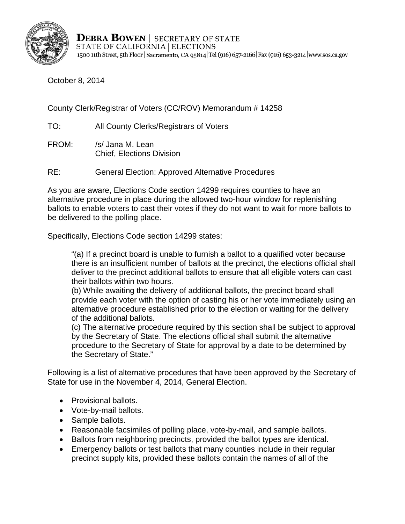

**DEBRA BOWEN** | SECRETARY OF STATE STATE OF CALIFORNIA | ELECTIONS 1500 11th Street, 5th Floor | Sacramento, CA 95814 | Tel (916) 657-2166 | Fax (916) 653-3214 | www.sos.ca.gov

October 8, 2014

County Clerk/Registrar of Voters (CC/ROV) Memorandum # 14258

TO: All County Clerks/Registrars of Voters

- FROM: /s/ Jana M. Lean Chief, Elections Division
- RE: General Election: Approved Alternative Procedures

As you are aware, Elections Code section 14299 requires counties to have an alternative procedure in place during the allowed two-hour window for replenishing ballots to enable voters to cast their votes if they do not want to wait for more ballots to be delivered to the polling place.

Specifically, Elections Code section 14299 states:

"(a) If a precinct board is unable to furnish a ballot to a qualified voter because there is an insufficient number of ballots at the precinct, the elections official shall deliver to the precinct additional ballots to ensure that all eligible voters can cast their ballots within two hours.

(b) While awaiting the delivery of additional ballots, the precinct board shall provide each voter with the option of casting his or her vote immediately using an alternative procedure established prior to the election or waiting for the delivery of the additional ballots.

(c) The alternative procedure required by this section shall be subject to approval by the Secretary of State. The elections official shall submit the alternative procedure to the Secretary of State for approval by a date to be determined by the Secretary of State."

Following is a list of alternative procedures that have been approved by the Secretary of State for use in the November 4, 2014, General Election.

- Provisional ballots.
- Vote-by-mail ballots.
- Sample ballots.
- Reasonable facsimiles of polling place, vote-by-mail, and sample ballots.
- Ballots from neighboring precincts, provided the ballot types are identical.
- Emergency ballots or test ballots that many counties include in their regular precinct supply kits, provided these ballots contain the names of all of the